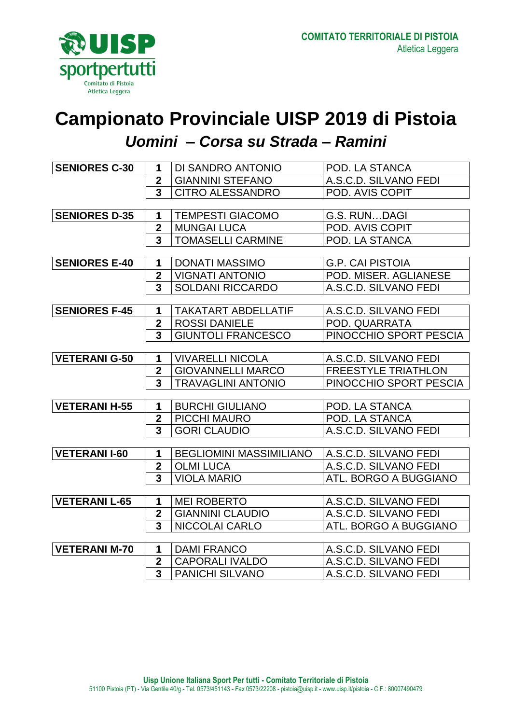

## **Campionato Provinciale UISP 2019 di Pistoia**  *Uomini – Corsa su Strada – Ramini*

| <b>SENIORES C-30</b> | 1                       | DI SANDRO ANTONIO              | POD. LA STANCA               |
|----------------------|-------------------------|--------------------------------|------------------------------|
|                      | $\mathbf 2$             | <b>GIANNINI STEFANO</b>        | A.S.C.D. SILVANO FEDI        |
|                      | 3                       | <b>CITRO ALESSANDRO</b>        | POD. AVIS COPIT              |
|                      |                         |                                |                              |
| <b>SENIORES D-35</b> | 1                       | <b>TEMPESTI GIACOMO</b>        | G.S. RUNDAGI                 |
|                      | $\overline{\mathbf{2}}$ | <b>MUNGAI LUCA</b>             | POD. AVIS COPIT              |
|                      | 3                       | <b>TOMASELLI CARMINE</b>       | POD. LA STANCA               |
|                      |                         |                                |                              |
| <b>SENIORES E-40</b> | 1                       | <b>DONATI MASSIMO</b>          | <b>G.P. CAI PISTOIA</b>      |
|                      | $\overline{2}$          | <b>VIGNATI ANTONIO</b>         | POD. MISER. AGLIANESE        |
|                      | 3                       | <b>SOLDANI RICCARDO</b>        | A.S.C.D. SILVANO FEDI        |
|                      |                         |                                |                              |
| <b>SENIORES F-45</b> | 1                       | <b>TAKATART ABDELLATIF</b>     | A.S.C.D. SILVANO FEDI        |
|                      | $\overline{2}$          | <b>ROSSI DANIELE</b>           | POD. QUARRATA                |
|                      | $\overline{\mathbf{3}}$ | <b>GIUNTOLI FRANCESCO</b>      | PINOCCHIO SPORT PESCIA       |
|                      |                         |                                |                              |
| <b>VETERANI G-50</b> | 1                       | <b>VIVARELLI NICOLA</b>        | A.S.C.D. SILVANO FEDI        |
|                      | $\overline{2}$          | <b>GIOVANNELLI MARCO</b>       | <b>FREESTYLE TRIATHLON</b>   |
|                      | 3                       | <b>TRAVAGLINI ANTONIO</b>      | PINOCCHIO SPORT PESCIA       |
|                      |                         |                                |                              |
| <b>VETERANI H-55</b> | 1                       | <b>BURCHI GIULIANO</b>         | POD. LA STANCA               |
|                      | $\overline{2}$          | <b>PICCHI MAURO</b>            | POD. LA STANCA               |
|                      | 3                       | <b>GORI CLAUDIO</b>            | A.S.C.D. SILVANO FEDI        |
|                      |                         |                                |                              |
| <b>VETERANI I-60</b> | 1                       | <b>BEGLIOMINI MASSIMILIANO</b> | A.S.C.D. SILVANO FEDI        |
|                      | $\overline{2}$          | <b>OLMI LUCA</b>               | A.S.C.D. SILVANO FEDI        |
|                      | 3                       | <b>VIOLA MARIO</b>             | <b>ATL. BORGO A BUGGIANO</b> |
|                      |                         |                                |                              |
| <b>VETERANI L-65</b> | 1                       | <b>MEI ROBERTO</b>             | A.S.C.D. SILVANO FEDI        |
|                      | $\overline{\mathbf{2}}$ | <b>GIANNINI CLAUDIO</b>        | A.S.C.D. SILVANO FEDI        |
|                      | $\overline{\mathbf{3}}$ | NICCOLAI CARLO                 | ATL. BORGO A BUGGIANO        |
|                      |                         |                                |                              |
| <b>VETERANI M-70</b> | 1                       | <b>DAMI FRANCO</b>             | A.S.C.D. SILVANO FEDI        |
|                      | $\overline{2}$          | <b>CAPORALI IVALDO</b>         | A.S.C.D. SILVANO FEDI        |
|                      | $\overline{\mathbf{3}}$ | <b>PANICHI SILVANO</b>         | A.S.C.D. SILVANO FEDI        |